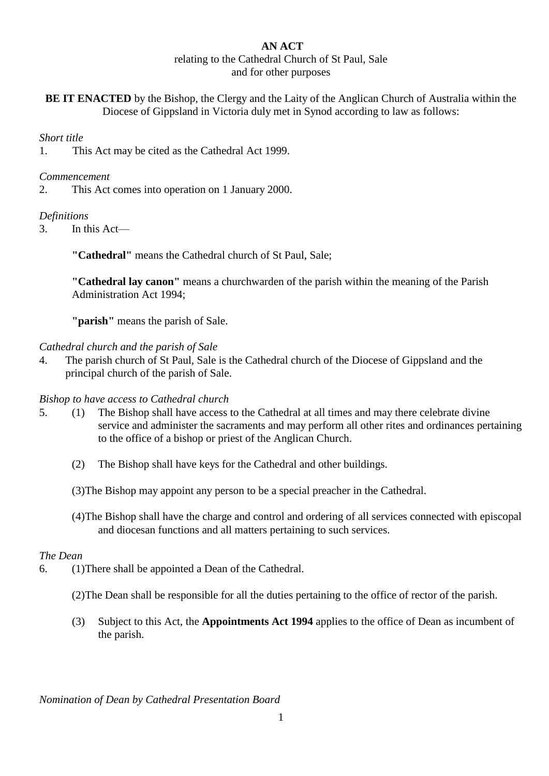# **AN ACT**

#### relating to the Cathedral Church of St Paul, Sale and for other purposes

**BE IT ENACTED** by the Bishop, the Clergy and the Laity of the Anglican Church of Australia within the Diocese of Gippsland in Victoria duly met in Synod according to law as follows:

## *Short title*

1. This Act may be cited as the Cathedral Act 1999.

## *Commencement*

2. This Act comes into operation on 1 January 2000.

## *Definitions*

3. In this Act—

**"Cathedral"** means the Cathedral church of St Paul, Sale;

**"Cathedral lay canon"** means a churchwarden of the parish within the meaning of the Parish Administration Act 1994;

**"parish"** means the parish of Sale.

### *Cathedral church and the parish of Sale*

4. The parish church of St Paul, Sale is the Cathedral church of the Diocese of Gippsland and the principal church of the parish of Sale.

## *Bishop to have access to Cathedral church*

- 5. (1) The Bishop shall have access to the Cathedral at all times and may there celebrate divine service and administer the sacraments and may perform all other rites and ordinances pertaining to the office of a bishop or priest of the Anglican Church.
	- (2) The Bishop shall have keys for the Cathedral and other buildings.
	- (3)The Bishop may appoint any person to be a special preacher in the Cathedral.
	- (4)The Bishop shall have the charge and control and ordering of all services connected with episcopal and diocesan functions and all matters pertaining to such services.

#### *The Dean*

- 6. (1)There shall be appointed a Dean of the Cathedral.
	- (2)The Dean shall be responsible for all the duties pertaining to the office of rector of the parish.
	- (3) Subject to this Act, the **Appointments Act 1994** applies to the office of Dean as incumbent of the parish.

*Nomination of Dean by Cathedral Presentation Board*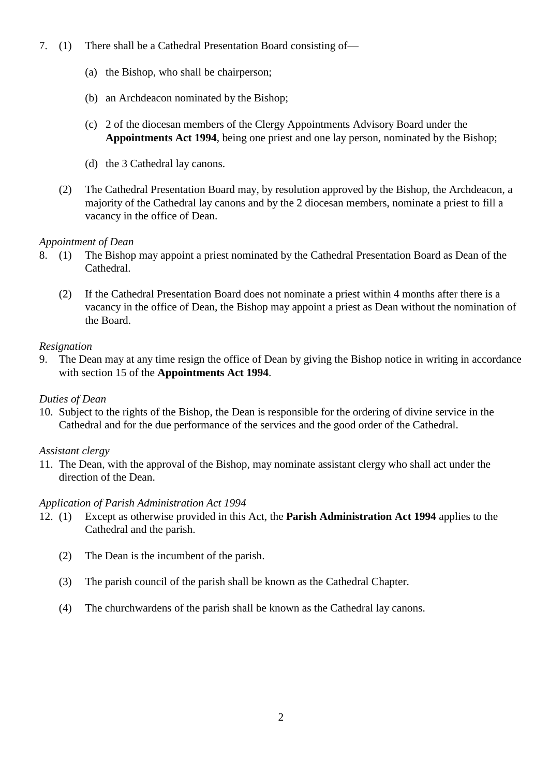- 7. (1) There shall be a Cathedral Presentation Board consisting of—
	- (a) the Bishop, who shall be chairperson;
	- (b) an Archdeacon nominated by the Bishop;
	- (c) 2 of the diocesan members of the Clergy Appointments Advisory Board under the **Appointments Act 1994**, being one priest and one lay person, nominated by the Bishop;
	- (d) the 3 Cathedral lay canons.
	- (2) The Cathedral Presentation Board may, by resolution approved by the Bishop, the Archdeacon, a majority of the Cathedral lay canons and by the 2 diocesan members, nominate a priest to fill a vacancy in the office of Dean.

### *Appointment of Dean*

- 8. (1) The Bishop may appoint a priest nominated by the Cathedral Presentation Board as Dean of the Cathedral.
	- (2) If the Cathedral Presentation Board does not nominate a priest within 4 months after there is a vacancy in the office of Dean, the Bishop may appoint a priest as Dean without the nomination of the Board.

### *Resignation*

9. The Dean may at any time resign the office of Dean by giving the Bishop notice in writing in accordance with section 15 of the **Appointments Act 1994**.

#### *Duties of Dean*

10. Subject to the rights of the Bishop, the Dean is responsible for the ordering of divine service in the Cathedral and for the due performance of the services and the good order of the Cathedral.

#### *Assistant clergy*

11. The Dean, with the approval of the Bishop, may nominate assistant clergy who shall act under the direction of the Dean.

#### *Application of Parish Administration Act 1994*

- 12. (1) Except as otherwise provided in this Act, the **Parish Administration Act 1994** applies to the Cathedral and the parish.
	- (2) The Dean is the incumbent of the parish.
	- (3) The parish council of the parish shall be known as the Cathedral Chapter.
	- (4) The churchwardens of the parish shall be known as the Cathedral lay canons.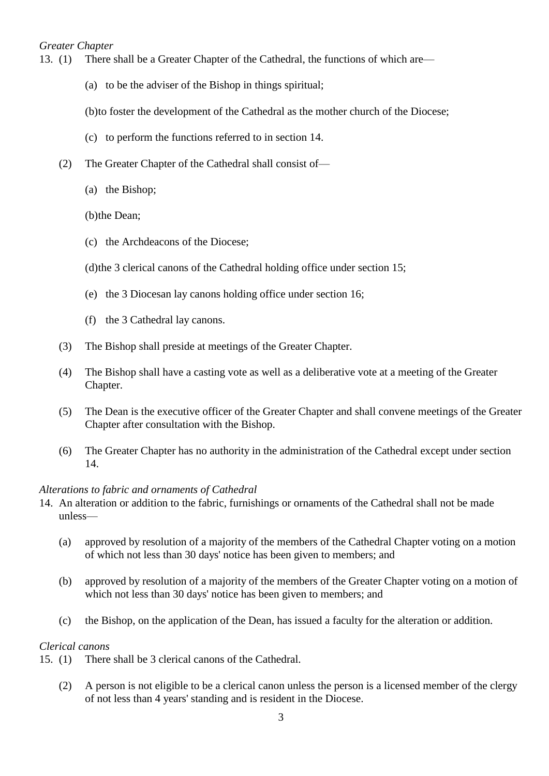### *Greater Chapter*

- 13. (1) There shall be a Greater Chapter of the Cathedral, the functions of which are—
	- (a) to be the adviser of the Bishop in things spiritual;

(b)to foster the development of the Cathedral as the mother church of the Diocese;

- (c) to perform the functions referred to in section 14.
- (2) The Greater Chapter of the Cathedral shall consist of—
	- (a) the Bishop;
	- (b)the Dean;
	- (c) the Archdeacons of the Diocese;
	- (d)the 3 clerical canons of the Cathedral holding office under section 15;
	- (e) the 3 Diocesan lay canons holding office under section 16;
	- (f) the 3 Cathedral lay canons.
- (3) The Bishop shall preside at meetings of the Greater Chapter.
- (4) The Bishop shall have a casting vote as well as a deliberative vote at a meeting of the Greater Chapter.
- (5) The Dean is the executive officer of the Greater Chapter and shall convene meetings of the Greater Chapter after consultation with the Bishop.
- (6) The Greater Chapter has no authority in the administration of the Cathedral except under section 14.

#### *Alterations to fabric and ornaments of Cathedral*

- 14. An alteration or addition to the fabric, furnishings or ornaments of the Cathedral shall not be made unless—
	- (a) approved by resolution of a majority of the members of the Cathedral Chapter voting on a motion of which not less than 30 days' notice has been given to members; and
	- (b) approved by resolution of a majority of the members of the Greater Chapter voting on a motion of which not less than 30 days' notice has been given to members; and
	- (c) the Bishop, on the application of the Dean, has issued a faculty for the alteration or addition.

#### *Clerical canons*

- 15. (1) There shall be 3 clerical canons of the Cathedral.
	- (2) A person is not eligible to be a clerical canon unless the person is a licensed member of the clergy of not less than 4 years' standing and is resident in the Diocese.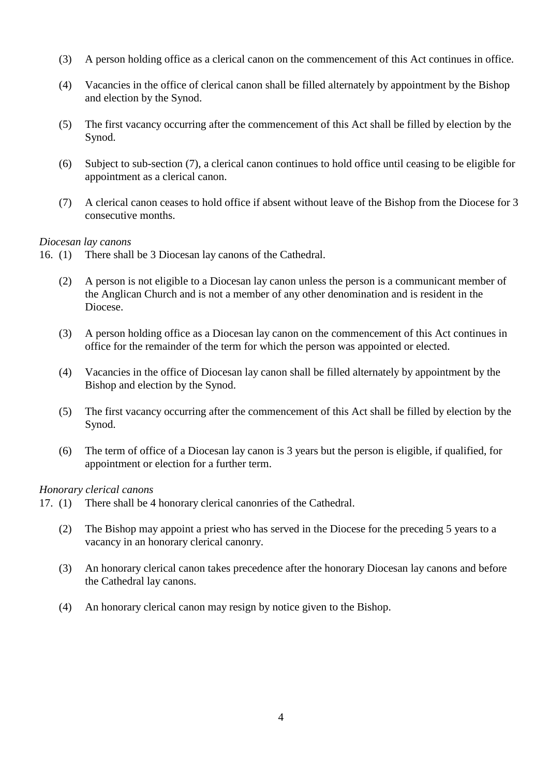- (3) A person holding office as a clerical canon on the commencement of this Act continues in office.
- (4) Vacancies in the office of clerical canon shall be filled alternately by appointment by the Bishop and election by the Synod.
- (5) The first vacancy occurring after the commencement of this Act shall be filled by election by the Synod.
- (6) Subject to sub-section (7), a clerical canon continues to hold office until ceasing to be eligible for appointment as a clerical canon.
- (7) A clerical canon ceases to hold office if absent without leave of the Bishop from the Diocese for 3 consecutive months.

#### *Diocesan lay canons*

- 16. (1) There shall be 3 Diocesan lay canons of the Cathedral.
	- (2) A person is not eligible to a Diocesan lay canon unless the person is a communicant member of the Anglican Church and is not a member of any other denomination and is resident in the Diocese.
	- (3) A person holding office as a Diocesan lay canon on the commencement of this Act continues in office for the remainder of the term for which the person was appointed or elected.
	- (4) Vacancies in the office of Diocesan lay canon shall be filled alternately by appointment by the Bishop and election by the Synod.
	- (5) The first vacancy occurring after the commencement of this Act shall be filled by election by the Synod.
	- (6) The term of office of a Diocesan lay canon is 3 years but the person is eligible, if qualified, for appointment or election for a further term.

#### *Honorary clerical canons*

- 17. (1) There shall be 4 honorary clerical canonries of the Cathedral.
	- (2) The Bishop may appoint a priest who has served in the Diocese for the preceding 5 years to a vacancy in an honorary clerical canonry.
	- (3) An honorary clerical canon takes precedence after the honorary Diocesan lay canons and before the Cathedral lay canons.
	- (4) An honorary clerical canon may resign by notice given to the Bishop.